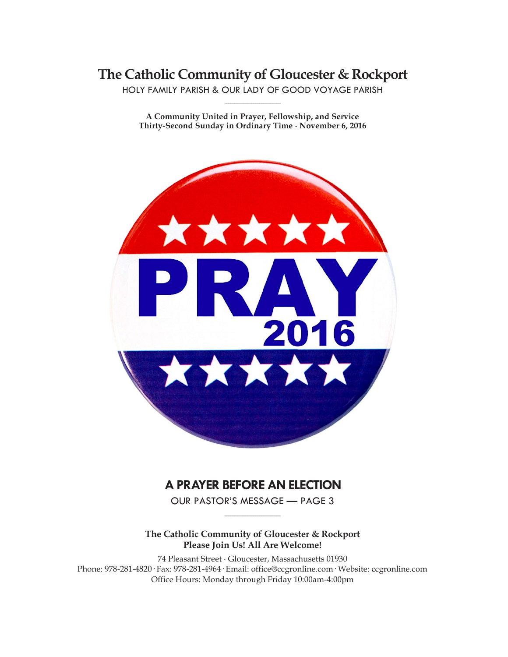**The Catholic Community of Gloucester & Rockport**

HOLY FAMILY PARISH & OUR LADY OF GOOD VOYAGE PARISH **\_\_\_\_\_\_\_\_\_\_\_\_\_\_\_\_\_\_\_\_\_\_\_\_\_\_\_\_\_**

**A Community United in Prayer, Fellowship, and Service Thirty-Second Sunday in Ordinary Time ∙ November 6, 2016**



# **A PRAYER BEFORE AN ELECTION**

OUR PASTOR'S MESSAGE — PAGE 3 **\_\_\_\_\_\_\_\_\_\_\_\_\_\_\_\_\_\_\_\_\_\_\_\_\_\_\_\_\_**

**The Catholic Community of Gloucester & Rockport Please Join Us! All Are Welcome!**

74 Pleasant Street ∙ Gloucester, Massachusetts 01930 Phone: 978-281-4820· Fax: 978-281-4964· Email: office@ccgronline.com· Website: ccgronline.com Office Hours: Monday through Friday 10:00am-4:00pm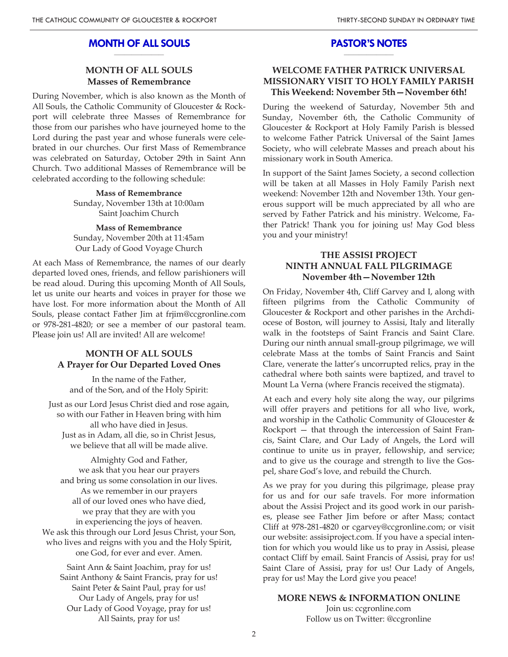#### **MONTH OF ALL SOULS \_\_\_\_\_\_\_\_\_\_\_\_\_\_\_\_\_\_\_\_**

### **MONTH OF ALL SOULS Masses of Remembrance**

During November, which is also known as the Month of All Souls, the Catholic Community of Gloucester & Rockport will celebrate three Masses of Remembrance for those from our parishes who have journeyed home to the Lord during the past year and whose funerals were celebrated in our churches. Our first Mass of Remembrance was celebrated on Saturday, October 29th in Saint Ann Church. Two additional Masses of Remembrance will be celebrated according to the following schedule:

> **Mass of Remembrance** Sunday, November 13th at 10:00am Saint Joachim Church

> **Mass of Remembrance** Sunday, November 20th at 11:45am Our Lady of Good Voyage Church

At each Mass of Remembrance, the names of our dearly departed loved ones, friends, and fellow parishioners will be read aloud. During this upcoming Month of All Souls, let us unite our hearts and voices in prayer for those we have lost. For more information about the Month of All Souls, please contact Father Jim at frjim@ccgronline.com or 978-281-4820; or see a member of our pastoral team. Please join us! All are invited! All are welcome!

### **MONTH OF ALL SOULS A Prayer for Our Departed Loved Ones**

In the name of the Father, and of the Son, and of the Holy Spirit:

Just as our Lord Jesus Christ died and rose again, so with our Father in Heaven bring with him all who have died in Jesus. Just as in Adam, all die, so in Christ Jesus, we believe that all will be made alive.

Almighty God and Father, we ask that you hear our prayers and bring us some consolation in our lives. As we remember in our prayers all of our loved ones who have died, we pray that they are with you in experiencing the joys of heaven. We ask this through our Lord Jesus Christ, your Son, who lives and reigns with you and the Holy Spirit, one God, for ever and ever. Amen.

Saint Ann & Saint Joachim, pray for us! Saint Anthony & Saint Francis, pray for us! Saint Peter & Saint Paul, pray for us! Our Lady of Angels, pray for us! Our Lady of Good Voyage, pray for us! All Saints, pray for us!

#### **PASTOR'S NOTES \_\_\_\_\_\_\_\_\_\_\_\_\_\_\_\_\_\_\_\_**

### **WELCOME FATHER PATRICK UNIVERSAL MISSIONARY VISIT TO HOLY FAMILY PARISH This Weekend: November 5th—November 6th!**

During the weekend of Saturday, November 5th and Sunday, November 6th, the Catholic Community of Gloucester & Rockport at Holy Family Parish is blessed to welcome Father Patrick Universal of the Saint James Society, who will celebrate Masses and preach about his missionary work in South America.

In support of the Saint James Society, a second collection will be taken at all Masses in Holy Family Parish next weekend: November 12th and November 13th. Your generous support will be much appreciated by all who are served by Father Patrick and his ministry. Welcome, Father Patrick! Thank you for joining us! May God bless you and your ministry!

### **THE ASSISI PROJECT NINTH ANNUAL FALL PILGRIMAGE November 4th—November 12th**

On Friday, November 4th, Cliff Garvey and I, along with fifteen pilgrims from the Catholic Community of Gloucester & Rockport and other parishes in the Archdiocese of Boston, will journey to Assisi, Italy and literally walk in the footsteps of Saint Francis and Saint Clare. During our ninth annual small-group pilgrimage, we will celebrate Mass at the tombs of Saint Francis and Saint Clare, venerate the latter's uncorrupted relics, pray in the cathedral where both saints were baptized, and travel to Mount La Verna (where Francis received the stigmata).

At each and every holy site along the way, our pilgrims will offer prayers and petitions for all who live, work, and worship in the Catholic Community of Gloucester & Rockport — that through the intercession of Saint Francis, Saint Clare, and Our Lady of Angels, the Lord will continue to unite us in prayer, fellowship, and service; and to give us the courage and strength to live the Gospel, share God's love, and rebuild the Church.

As we pray for you during this pilgrimage, please pray for us and for our safe travels. For more information about the Assisi Project and its good work in our parishes, please see Father Jim before or after Mass; contact Cliff at 978-281-4820 or cgarvey@ccgronline.com; or visit our website: assisiproject.com. If you have a special intention for which you would like us to pray in Assisi, please contact Cliff by email. Saint Francis of Assisi, pray for us! Saint Clare of Assisi, pray for us! Our Lady of Angels, pray for us! May the Lord give you peace!

### **MORE NEWS & INFORMATION ONLINE**

Join us: ccgronline.com Follow us on Twitter: @ccgronline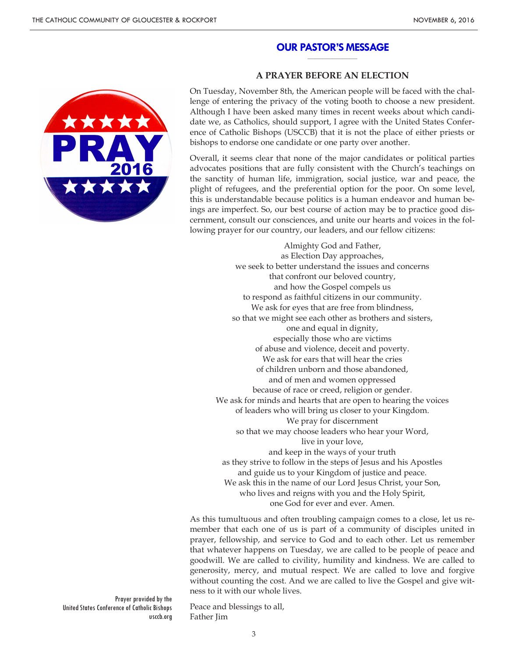#### **OUR PASTOR'S MESSAGE \_\_\_\_\_\_\_\_\_\_\_\_\_\_\_\_\_\_\_\_**



### **A PRAYER BEFORE AN ELECTION**

On Tuesday, November 8th, the American people will be faced with the challenge of entering the privacy of the voting booth to choose a new president. Although I have been asked many times in recent weeks about which candidate we, as Catholics, should support, I agree with the United States Conference of Catholic Bishops (USCCB) that it is not the place of either priests or bishops to endorse one candidate or one party over another.

Overall, it seems clear that none of the major candidates or political parties advocates positions that are fully consistent with the Church's teachings on the sanctity of human life, immigration, social justice, war and peace, the plight of refugees, and the preferential option for the poor. On some level, this is understandable because politics is a human endeavor and human beings are imperfect. So, our best course of action may be to practice good discernment, consult our consciences, and unite our hearts and voices in the following prayer for our country, our leaders, and our fellow citizens:

Almighty God and Father, as Election Day approaches, we seek to better understand the issues and concerns that confront our beloved country, and how the Gospel compels us to respond as faithful citizens in our community. We ask for eyes that are free from blindness, so that we might see each other as brothers and sisters, one and equal in dignity, especially those who are victims of abuse and violence, deceit and poverty. We ask for ears that will hear the cries of children unborn and those abandoned, and of men and women oppressed because of race or creed, religion or gender. We ask for minds and hearts that are open to hearing the voices of leaders who will bring us closer to your Kingdom. We pray for discernment so that we may choose leaders who hear your Word, live in your love, and keep in the ways of your truth as they strive to follow in the steps of Jesus and his Apostles and guide us to your Kingdom of justice and peace. We ask this in the name of our Lord Jesus Christ, your Son, who lives and reigns with you and the Holy Spirit, one God for ever and ever. Amen.

As this tumultuous and often troubling campaign comes to a close, let us remember that each one of us is part of a community of disciples united in prayer, fellowship, and service to God and to each other. Let us remember that whatever happens on Tuesday, we are called to be people of peace and goodwill. We are called to civility, humility and kindness. We are called to generosity, mercy, and mutual respect. We are called to love and forgive without counting the cost. And we are called to live the Gospel and give witness to it with our whole lives.

Prayer provided by the United States Conference of Catholic Bishops usccb.org

Peace and blessings to all, Father Jim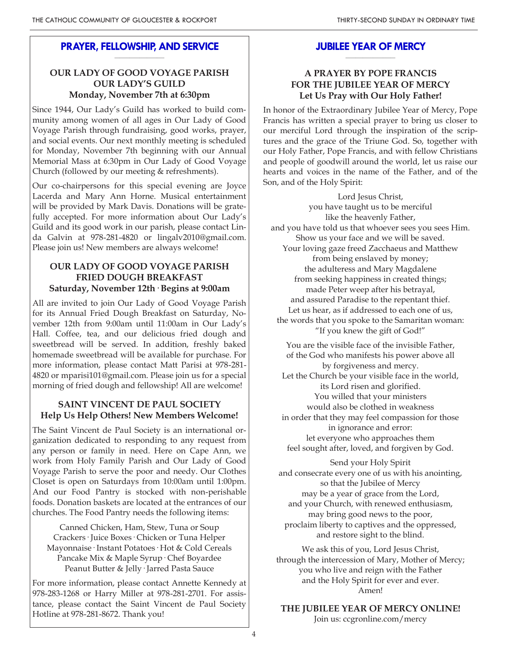#### **PRAYER, FELLOWSHIP, AND SERVICE \_\_\_\_\_\_\_\_\_\_\_\_\_\_\_\_\_\_\_\_**

# **OUR LADY OF GOOD VOYAGE PARISH OUR LADY'S GUILD Monday, November 7th at 6:30pm**

Since 1944, Our Lady's Guild has worked to build community among women of all ages in Our Lady of Good Voyage Parish through fundraising, good works, prayer, and social events. Our next monthly meeting is scheduled for Monday, November 7th beginning with our Annual Memorial Mass at 6:30pm in Our Lady of Good Voyage Church (followed by our meeting & refreshments).

Our co-chairpersons for this special evening are Joyce Lacerda and Mary Ann Horne. Musical entertainment will be provided by Mark Davis. Donations will be gratefully accepted. For more information about Our Lady's Guild and its good work in our parish, please contact Linda Galvin at 978-281-4820 or lingalv2010@gmail.com. Please join us! New members are always welcome!

# **OUR LADY OF GOOD VOYAGE PARISH FRIED DOUGH BREAKFAST Saturday, November 12th· Begins at 9:00am**

All are invited to join Our Lady of Good Voyage Parish for its Annual Fried Dough Breakfast on Saturday, November 12th from 9:00am until 11:00am in Our Lady's Hall. Coffee, tea, and our delicious fried dough and sweetbread will be served. In addition, freshly baked homemade sweetbread will be available for purchase. For more information, please contact Matt Parisi at 978-281- 4820 or mparisi101@gmail.com. Please join us for a special morning of fried dough and fellowship! All are welcome!

### **SAINT VINCENT DE PAUL SOCIETY Help Us Help Others! New Members Welcome!**

The Saint Vincent de Paul Society is an international organization dedicated to responding to any request from any person or family in need. Here on Cape Ann, we work from Holy Family Parish and Our Lady of Good Voyage Parish to serve the poor and needy. Our Clothes Closet is open on Saturdays from 10:00am until 1:00pm. And our Food Pantry is stocked with non-perishable foods. Donation baskets are located at the entrances of our churches. The Food Pantry needs the following items:

Canned Chicken, Ham, Stew, Tuna or Soup Crackers· Juice Boxes· Chicken or Tuna Helper Mayonnaise· Instant Potatoes· Hot & Cold Cereals Pancake Mix & Maple Syrup· Chef Boyardee Peanut Butter & Jelly· Jarred Pasta Sauce

For more information, please contact Annette Kennedy at 978-283-1268 or Harry Miller at 978-281-2701. For assistance, please contact the Saint Vincent de Paul Society Hotline at 978-281-8672. Thank you!

#### **JUBILEE YEAR OF MERCY \_\_\_\_\_\_\_\_\_\_\_\_\_\_\_\_\_\_\_\_**

# **A PRAYER BY POPE FRANCIS FOR THE JUBILEE YEAR OF MERCY Let Us Pray with Our Holy Father!**

In honor of the Extraordinary Jubilee Year of Mercy, Pope Francis has written a special prayer to bring us closer to our merciful Lord through the inspiration of the scriptures and the grace of the Triune God. So, together with our Holy Father, Pope Francis, and with fellow Christians and people of goodwill around the world, let us raise our hearts and voices in the name of the Father, and of the Son, and of the Holy Spirit:

Lord Jesus Christ, you have taught us to be merciful like the heavenly Father, and you have told us that whoever sees you sees Him. Show us your face and we will be saved. Your loving gaze freed Zacchaeus and Matthew from being enslaved by money; the adulteress and Mary Magdalene from seeking happiness in created things; made Peter weep after his betrayal, and assured Paradise to the repentant thief. Let us hear, as if addressed to each one of us, the words that you spoke to the Samaritan woman: "If you knew the gift of God!"

You are the visible face of the invisible Father, of the God who manifests his power above all by forgiveness and mercy. Let the Church be your visible face in the world, its Lord risen and glorified. You willed that your ministers would also be clothed in weakness in order that they may feel compassion for those in ignorance and error: let everyone who approaches them feel sought after, loved, and forgiven by God.

Send your Holy Spirit and consecrate every one of us with his anointing, so that the Jubilee of Mercy may be a year of grace from the Lord, and your Church, with renewed enthusiasm, may bring good news to the poor, proclaim liberty to captives and the oppressed, and restore sight to the blind.

We ask this of you, Lord Jesus Christ, through the intercession of Mary, Mother of Mercy; you who live and reign with the Father and the Holy Spirit for ever and ever. Amen!

**THE JUBILEE YEAR OF MERCY ONLINE!**

Join us: ccgronline.com/mercy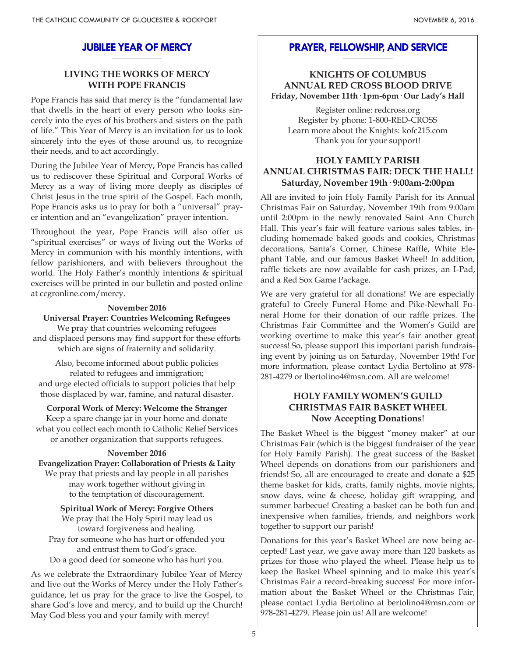#### **JUBILEE YEAR OF MERCY \_\_\_\_\_\_\_\_\_\_\_\_\_\_\_\_\_\_\_\_**

# **LIVING THE WORKS OF MERCY WITH POPE FRANCIS**

Pope Francis has said that mercy is the "fundamental law that dwells in the heart of every person who looks sincerely into the eyes of his brothers and sisters on the path of life." This Year of Mercy is an invitation for us to look sincerely into the eyes of those around us, to recognize their needs, and to act accordingly.

During the Jubilee Year of Mercy, Pope Francis has called us to rediscover these Spiritual and Corporal Works of Mercy as a way of living more deeply as disciples of Christ Jesus in the true spirit of the Gospel. Each month, Pope Francis asks us to pray for both a "universal" prayer intention and an "evangelization" prayer intention.

Throughout the year, Pope Francis will also offer us "spiritual exercises" or ways of living out the Works of Mercy in communion with his monthly intentions, with fellow parishioners, and with believers throughout the world. The Holy Father's monthly intentions & spiritual exercises will be printed in our bulletin and posted online at ccgronline.com/mercy.

#### **November 2016**

#### **Universal Prayer: Countries Welcoming Refugees**

We pray that countries welcoming refugees and displaced persons may find support for these efforts which are signs of fraternity and solidarity.

Also, become informed about public policies related to refugees and immigration; and urge elected officials to support policies that help those displaced by war, famine, and natural disaster.

**Corporal Work of Mercy: Welcome the Stranger** Keep a spare change jar in your home and donate what you collect each month to Catholic Relief Services

# or another organization that supports refugees. **November 2016**

**Evangelization Prayer: Collaboration of Priests & Laity**

We pray that priests and lay people in all parishes may work together without giving in to the temptation of discouragement.

**Spiritual Work of Mercy: Forgive Others**

We pray that the Holy Spirit may lead us toward forgiveness and healing. Pray for someone who has hurt or offended you and entrust them to God's grace. Do a good deed for someone who has hurt you.

As we celebrate the Extraordinary Jubilee Year of Mercy and live out the Works of Mercy under the Holy Father's guidance, let us pray for the grace to live the Gospel, to share God's love and mercy, and to build up the Church! May God bless you and your family with mercy!

#### **PRAYER, FELLOWSHIP, AND SERVICE \_\_\_\_\_\_\_\_\_\_\_\_\_\_\_\_\_\_\_\_**

### **KNIGHTS OF COLUMBUS ANNUAL RED CROSS BLOOD DRIVE Friday, November 11th· 1pm-6pm· Our Lady's Hall**

Register online: redcross.org Register by phone: 1-800-RED-CROSS Learn more about the Knights: kofc215.com Thank you for your support!

# **HOLY FAMILY PARISH ANNUAL CHRISTMAS FAIR: DECK THE HALL! Saturday, November 19th· 9:00am-2:00pm**

All are invited to join Holy Family Parish for its Annual Christmas Fair on Saturday, November 19th from 9:00am until 2:00pm in the newly renovated Saint Ann Church Hall. This year's fair will feature various sales tables, including homemade baked goods and cookies, Christmas decorations, Santa's Corner, Chinese Raffle, White Elephant Table, and our famous Basket Wheel! In addition, raffle tickets are now available for cash prizes, an I-Pad, and a Red Sox Game Package.

We are very grateful for all donations! We are especially grateful to Greely Funeral Home and Pike-Newhall Funeral Home for their donation of our raffle prizes. The Christmas Fair Committee and the Women's Guild are working overtime to make this year's fair another great success! So, please support this important parish fundraising event by joining us on Saturday, November 19th! For more information, please contact Lydia Bertolino at 978- 281-4279 or lbertolino4@msn.com. All are welcome!

# **HOLY FAMILY WOMEN'S GUILD CHRISTMAS FAIR BASKET WHEEL Now Accepting Donations**!

The Basket Wheel is the biggest "money maker" at our Christmas Fair (which is the biggest fundraiser of the year for Holy Family Parish). The great success of the Basket Wheel depends on donations from our parishioners and friends! So, all are encouraged to create and donate a \$25 theme basket for kids, crafts, family nights, movie nights, snow days, wine & cheese, holiday gift wrapping, and summer barbecue! Creating a basket can be both fun and inexpensive when families, friends, and neighbors work together to support our parish!

Donations for this year's Basket Wheel are now being accepted! Last year, we gave away more than 120 baskets as prizes for those who played the wheel. Please help us to keep the Basket Wheel spinning and to make this year's Christmas Fair a record-breaking success! For more information about the Basket Wheel or the Christmas Fair, please contact Lydia Bertolino at bertolino4@msn.com or 978-281-4279. Please join us! All are welcome!